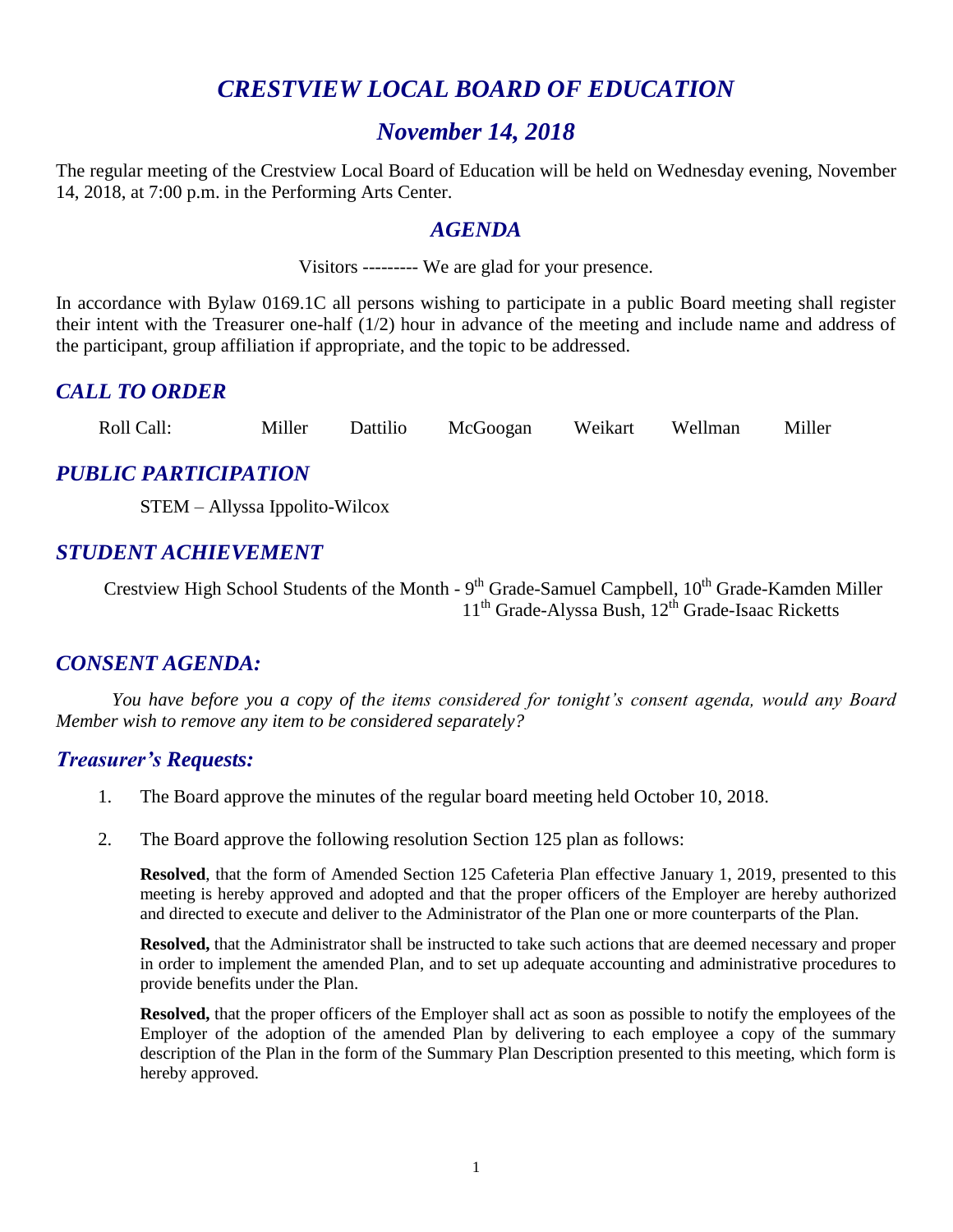# *CRESTVIEW LOCAL BOARD OF EDUCATION*

## *November 14, 2018*

The regular meeting of the Crestview Local Board of Education will be held on Wednesday evening, November 14, 2018, at 7:00 p.m. in the Performing Arts Center.

#### *AGENDA*

Visitors --------- We are glad for your presence.

In accordance with Bylaw 0169.1C all persons wishing to participate in a public Board meeting shall register their intent with the Treasurer one-half (1/2) hour in advance of the meeting and include name and address of the participant, group affiliation if appropriate, and the topic to be addressed.

#### *CALL TO ORDER*

Roll Call: Miller Dattilio McGoogan Weikart Wellman Miller

#### *PUBLIC PARTICIPATION*

STEM – Allyssa Ippolito-Wilcox

#### *STUDENT ACHIEVEMENT*

Crestview High School Students of the Month - 9<sup>th</sup> Grade-Samuel Campbell, 10<sup>th</sup> Grade-Kamden Miller 11<sup>th</sup> Grade-Alyssa Bush, 12<sup>th</sup> Grade-Isaac Ricketts

#### *CONSENT AGENDA:*

*You have before you a copy of the items considered for tonight's consent agenda, would any Board Member wish to remove any item to be considered separately?*

#### *Treasurer's Requests:*

- 1. The Board approve the minutes of the regular board meeting held October 10, 2018.
- 2. The Board approve the following resolution Section 125 plan as follows:

**Resolved**, that the form of Amended Section 125 Cafeteria Plan effective January 1, 2019, presented to this meeting is hereby approved and adopted and that the proper officers of the Employer are hereby authorized and directed to execute and deliver to the Administrator of the Plan one or more counterparts of the Plan.

**Resolved,** that the Administrator shall be instructed to take such actions that are deemed necessary and proper in order to implement the amended Plan, and to set up adequate accounting and administrative procedures to provide benefits under the Plan.

**Resolved,** that the proper officers of the Employer shall act as soon as possible to notify the employees of the Employer of the adoption of the amended Plan by delivering to each employee a copy of the summary description of the Plan in the form of the Summary Plan Description presented to this meeting, which form is hereby approved.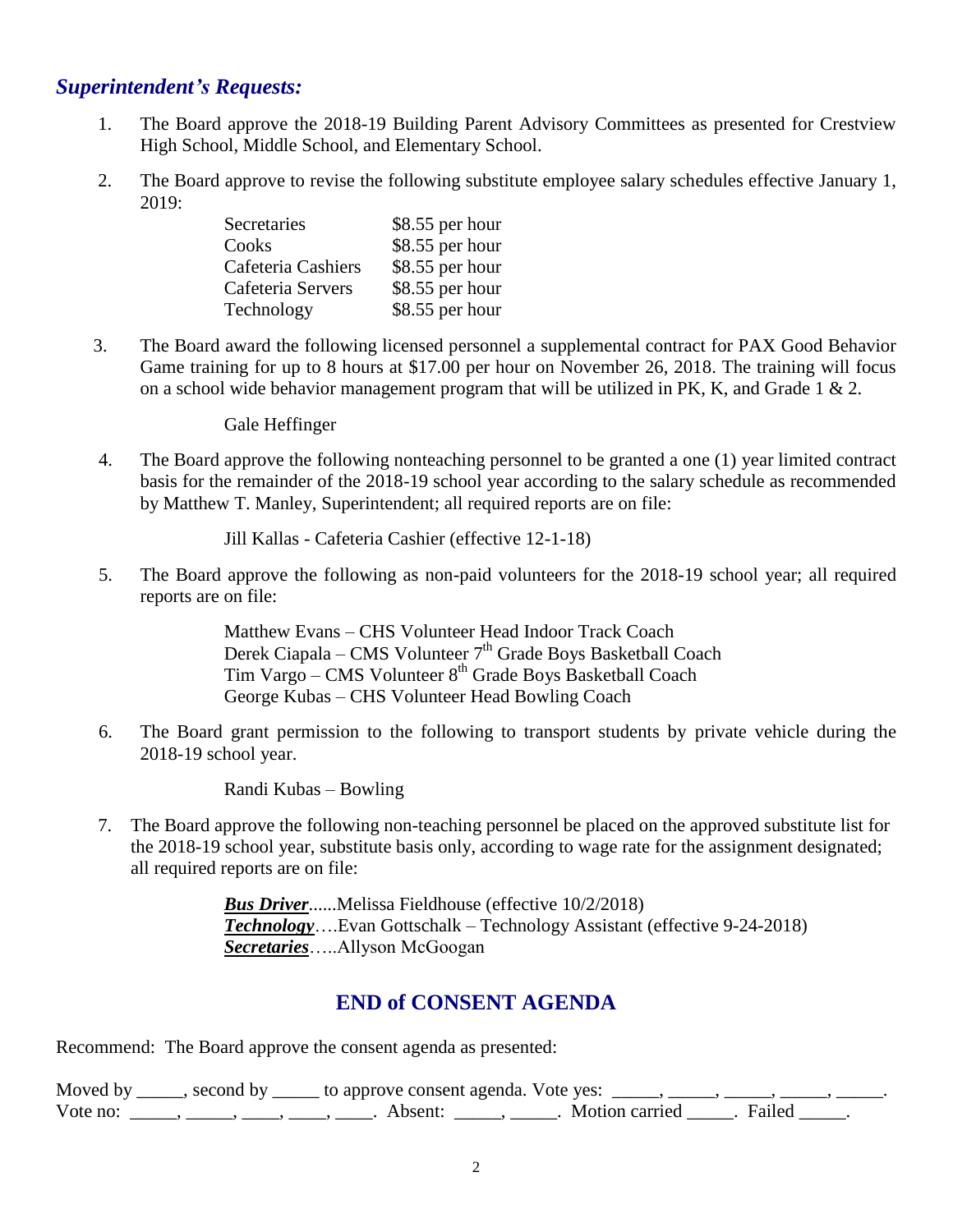#### *Superintendent's Requests:*

- 1. The Board approve the 2018-19 Building Parent Advisory Committees as presented for Crestview High School, Middle School, and Elementary School.
- 2. The Board approve to revise the following substitute employee salary schedules effective January 1, 2019:

| Secretaries        | \$8.55 per hour |
|--------------------|-----------------|
| Cooks              | \$8.55 per hour |
| Cafeteria Cashiers | \$8.55 per hour |
| Cafeteria Servers  | \$8.55 per hour |
| Technology         | \$8.55 per hour |

3. The Board award the following licensed personnel a supplemental contract for PAX Good Behavior Game training for up to 8 hours at \$17.00 per hour on November 26, 2018. The training will focus on a school wide behavior management program that will be utilized in PK, K, and Grade 1  $\&$  2.

Gale Heffinger

4. The Board approve the following nonteaching personnel to be granted a one (1) year limited contract basis for the remainder of the 2018-19 school year according to the salary schedule as recommended by Matthew T. Manley, Superintendent; all required reports are on file:

Jill Kallas - Cafeteria Cashier (effective 12-1-18)

5. The Board approve the following as non-paid volunteers for the 2018-19 school year; all required reports are on file:

> Matthew Evans – CHS Volunteer Head Indoor Track Coach Derek Ciapala – CMS Volunteer 7<sup>th</sup> Grade Boys Basketball Coach Tim Vargo – CMS Volunteer 8<sup>th</sup> Grade Boys Basketball Coach George Kubas – CHS Volunteer Head Bowling Coach

6. The Board grant permission to the following to transport students by private vehicle during the 2018-19 school year.

Randi Kubas – Bowling

 7. The Board approve the following non-teaching personnel be placed on the approved substitute list for the 2018-19 school year, substitute basis only, according to wage rate for the assignment designated; all required reports are on file:

> *Bus Driver*......Melissa Fieldhouse (effective 10/2/2018) *Technology*….Evan Gottschalk – Technology Assistant (effective 9-24-2018) *Secretaries*…..Allyson McGoogan

#### **END of CONSENT AGENDA**

Recommend: The Board approve the consent agenda as presented:

| Moved by | second by | y ______ to approve consent agenda. Vote yes: |                         |  |
|----------|-----------|-----------------------------------------------|-------------------------|--|
| Vote no: |           | Absent:                                       | Motion carried . Failed |  |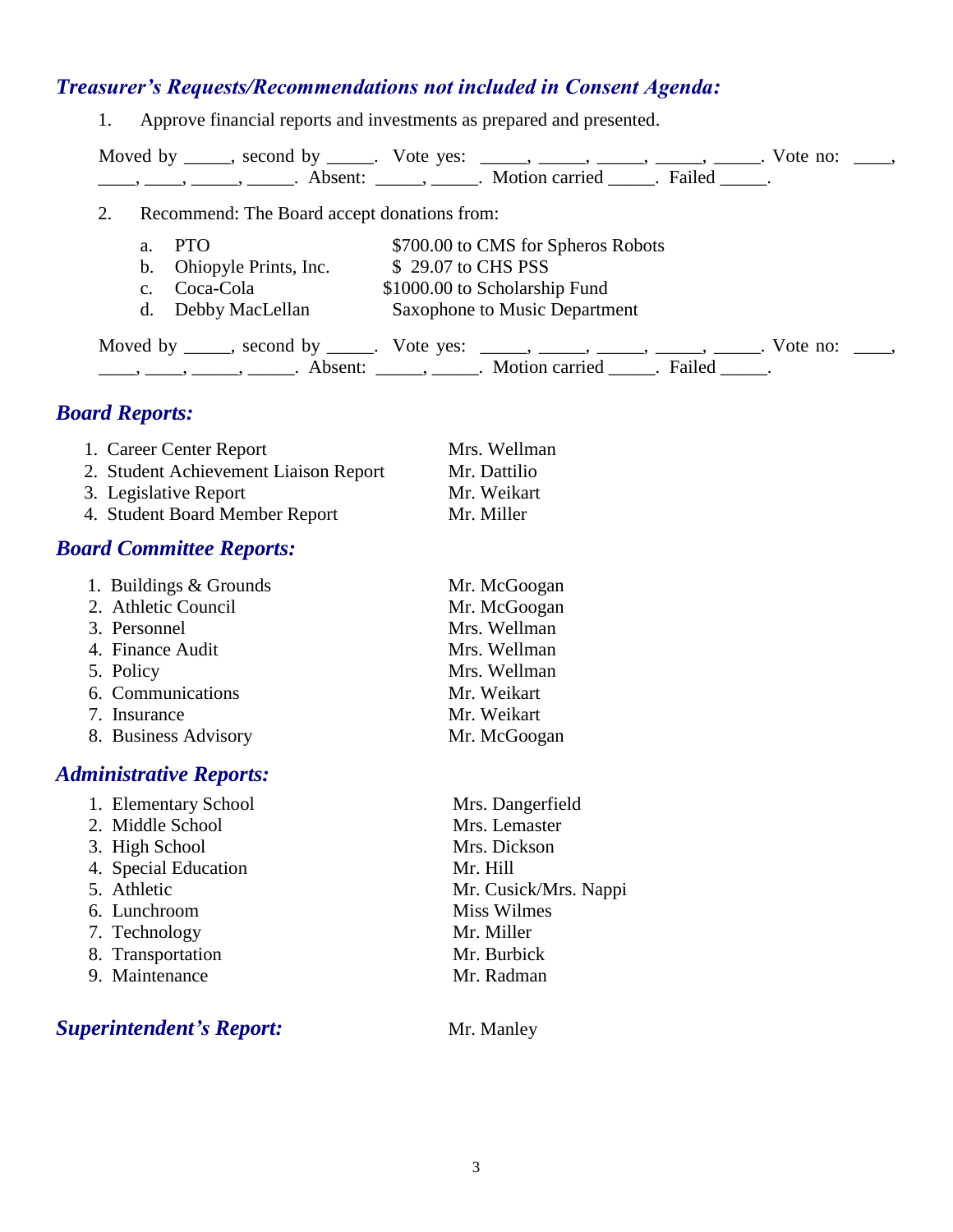## *Treasurer's Requests/Recommendations not included in Consent Agenda:*

1. Approve financial reports and investments as prepared and presented.

|    |             |                                             | Moved by _____, second by _____. Vote yes: _____, _____, _____, _____, _____. Vote no: ____,<br>$\frac{1}{1}, \frac{1}{1}, \frac{1}{1}, \frac{1}{1}, \frac{1}{1}, \frac{1}{1}, \frac{1}{1}, \frac{1}{1}, \frac{1}{1}, \frac{1}{1}, \frac{1}{1}, \frac{1}{1}, \frac{1}{1}, \frac{1}{1}, \frac{1}{1}, \frac{1}{1}, \frac{1}{1}, \frac{1}{1}, \frac{1}{1}, \frac{1}{1}, \frac{1}{1}, \frac{1}{1}, \frac{1}{1}, \frac{1}{1}, \frac{1}{1}, \frac{1}{1}, \frac{1}{1}, \frac{1}{1}, \frac{1}{1}, \frac{1}{1}, \frac{1}{1}, \frac{$ |  |
|----|-------------|---------------------------------------------|-----------------------------------------------------------------------------------------------------------------------------------------------------------------------------------------------------------------------------------------------------------------------------------------------------------------------------------------------------------------------------------------------------------------------------------------------------------------------------------------------------------------------------|--|
| 2. |             | Recommend: The Board accept donations from: |                                                                                                                                                                                                                                                                                                                                                                                                                                                                                                                             |  |
|    | a.          | <b>PTO</b>                                  | \$700.00 to CMS for Spheros Robots                                                                                                                                                                                                                                                                                                                                                                                                                                                                                          |  |
|    |             | b. Ohiopyle Prints, Inc.                    | \$29.07 to CHS PSS                                                                                                                                                                                                                                                                                                                                                                                                                                                                                                          |  |
|    | $c_{\cdot}$ | Coca-Cola                                   | \$1000.00 to Scholarship Fund                                                                                                                                                                                                                                                                                                                                                                                                                                                                                               |  |
|    |             | d. Debby MacLellan                          | <b>Saxophone to Music Department</b>                                                                                                                                                                                                                                                                                                                                                                                                                                                                                        |  |
|    |             |                                             | Moved by _____, second by _____. Vote yes: _____, _____, _____, _____, _____. Vote no: ____,<br>$\frac{1}{1}$ , $\frac{1}{1}$ , $\frac{1}{1}$ , $\frac{1}{1}$ , $\frac{1}{1}$ , $\frac{1}{1}$ , $\frac{1}{1}$ , $\frac{1}{1}$ , $\frac{1}{1}$ , $\frac{1}{1}$ , $\frac{1}{1}$ , $\frac{1}{1}$ , $\frac{1}{1}$ , $\frac{1}{1}$ , $\frac{1}{1}$ , $\frac{1}{1}$ , $\frac{1}{1}$ , $\frac{1}{1}$ , $\frac{1}{1}$ , $\frac{1}{1}$ ,                                                                                             |  |

# *Board Reports:*

| 1. Career Center Report               | Mrs. Wellman |
|---------------------------------------|--------------|
| 2. Student Achievement Liaison Report | Mr. Dattilio |
| 3. Legislative Report                 | Mr. Weikart  |
| 4. Student Board Member Report        | Mr. Miller   |

### *Board Committee Reports:*

| 1. Buildings & Grounds | Mr. McGoogan |
|------------------------|--------------|
| 2. Athletic Council    | Mr. McGoogan |
| 3. Personnel           | Mrs. Wellman |
| 4. Finance Audit       | Mrs. Wellman |
| 5. Policy              | Mrs. Wellman |
| 6. Communications      | Mr. Weikart  |
| 7. Insurance           | Mr. Weikart  |
| 8. Business Advisory   | Mr. McGoogan |

# *Administrative Reports:*

| 1. Elementary School | Mrs. Dangerfield      |
|----------------------|-----------------------|
| 2. Middle School     | Mrs. Lemaster         |
| 3. High School       | Mrs. Dickson          |
| 4. Special Education | Mr. Hill              |
| 5. Athletic          | Mr. Cusick/Mrs. Nappi |
| 6. Lunchroom         | <b>Miss Wilmes</b>    |
| 7. Technology        | Mr. Miller            |
| 8. Transportation    | Mr. Burbick           |
| 9. Maintenance       | Mr. Radman            |
|                      |                       |
|                      |                       |

# **Superintendent's Report:** Mr. Manley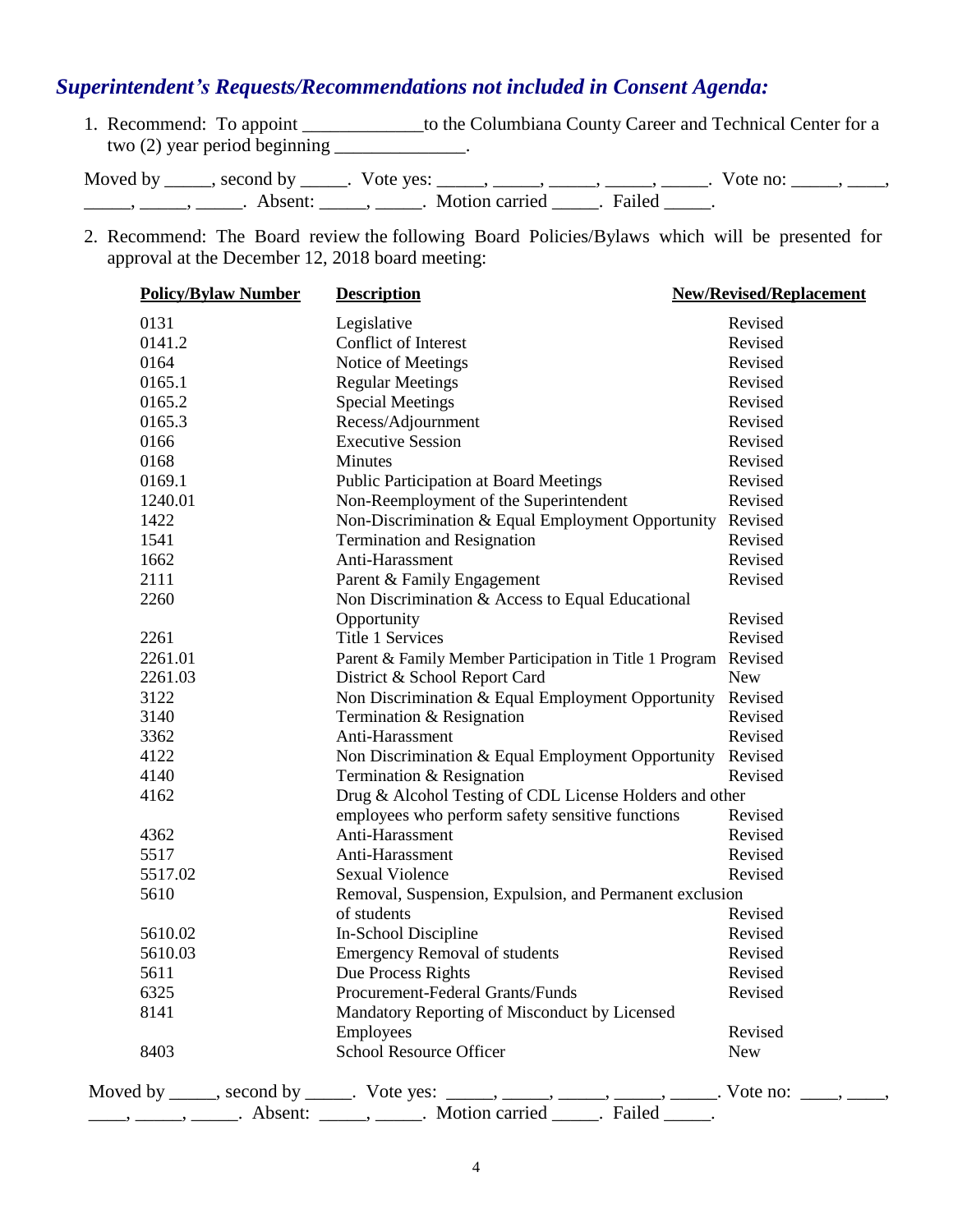# *Superintendent's Requests/Recommendations not included in Consent Agenda:*

1. Recommend: To appoint \_\_\_\_\_\_\_\_\_\_\_\_\_to the Columbiana County Career and Technical Center for a two  $(2)$  year period beginning \_\_\_\_\_\_\_\_\_\_\_\_.

Moved by \_\_\_\_\_, second by \_\_\_\_\_. Vote yes: \_\_\_\_\_, \_\_\_\_\_, \_\_\_\_\_, \_\_\_\_\_, \_\_\_\_\_. Vote no: \_\_\_\_\_, \_\_\_\_, \_\_\_\_\_\_, \_\_\_\_\_\_, \_\_\_\_\_\_\_. Absent: \_\_\_\_\_\_, \_\_\_\_\_\_. Motion carried \_\_\_\_\_\_. Failed \_\_\_\_\_.

2. Recommend: The Board review the following Board Policies/Bylaws which will be presented for approval at the December 12, 2018 board meeting:

| <b>Policy/Bylaw Number</b> | <b>Description</b>                                                                                  | <b>New/Revised/Replacement</b> |
|----------------------------|-----------------------------------------------------------------------------------------------------|--------------------------------|
| 0131                       | Legislative                                                                                         | Revised                        |
| 0141.2                     | <b>Conflict of Interest</b>                                                                         | Revised                        |
| 0164                       | Notice of Meetings                                                                                  | Revised                        |
| 0165.1                     | <b>Regular Meetings</b>                                                                             | Revised                        |
| 0165.2                     | <b>Special Meetings</b>                                                                             | Revised                        |
| 0165.3                     | Recess/Adjournment                                                                                  | Revised                        |
| 0166                       | <b>Executive Session</b>                                                                            | Revised                        |
| 0168                       | <b>Minutes</b>                                                                                      | Revised                        |
| 0169.1                     | <b>Public Participation at Board Meetings</b>                                                       | Revised                        |
| 1240.01                    | Non-Reemployment of the Superintendent                                                              | Revised                        |
| 1422                       | Non-Discrimination & Equal Employment Opportunity                                                   | Revised                        |
| 1541                       | <b>Termination and Resignation</b>                                                                  | Revised                        |
| 1662                       | Anti-Harassment                                                                                     | Revised                        |
| 2111                       | Parent & Family Engagement                                                                          | Revised                        |
| 2260                       | Non Discrimination & Access to Equal Educational                                                    |                                |
|                            | Opportunity                                                                                         | Revised                        |
| 2261                       | Title 1 Services                                                                                    | Revised                        |
| 2261.01                    | Parent & Family Member Participation in Title 1 Program                                             | Revised                        |
| 2261.03                    | District & School Report Card                                                                       | <b>New</b>                     |
| 3122                       | Non Discrimination & Equal Employment Opportunity                                                   | Revised                        |
| 3140                       | Termination & Resignation                                                                           | Revised                        |
| 3362                       | Anti-Harassment                                                                                     | Revised                        |
| 4122                       | Non Discrimination & Equal Employment Opportunity                                                   | Revised                        |
| 4140                       | Termination & Resignation                                                                           | Revised                        |
| 4162                       | Drug & Alcohol Testing of CDL License Holders and other                                             |                                |
|                            | employees who perform safety sensitive functions                                                    | Revised                        |
| 4362                       | Anti-Harassment                                                                                     | Revised                        |
| 5517                       | Anti-Harassment                                                                                     | Revised                        |
| 5517.02                    | <b>Sexual Violence</b>                                                                              | Revised                        |
| 5610                       | Removal, Suspension, Expulsion, and Permanent exclusion                                             |                                |
|                            | of students                                                                                         | Revised                        |
| 5610.02                    | In-School Discipline                                                                                | Revised                        |
| 5610.03                    | <b>Emergency Removal of students</b>                                                                | Revised                        |
| 5611                       | Due Process Rights                                                                                  | Revised                        |
| 6325                       | Procurement-Federal Grants/Funds                                                                    | Revised                        |
| 8141                       | Mandatory Reporting of Misconduct by Licensed                                                       |                                |
|                            | Employees                                                                                           | Revised                        |
| 8403                       | School Resource Officer                                                                             | <b>New</b>                     |
|                            |                                                                                                     |                                |
|                            | Moved by _____, second by _____. Vote yes: _____, _____, _____, _____, _____. Vote no: ____, _____, |                                |
|                            | -, ______, ______. Absent: ______, _____. Motion carried ______. Failed _____.                      |                                |